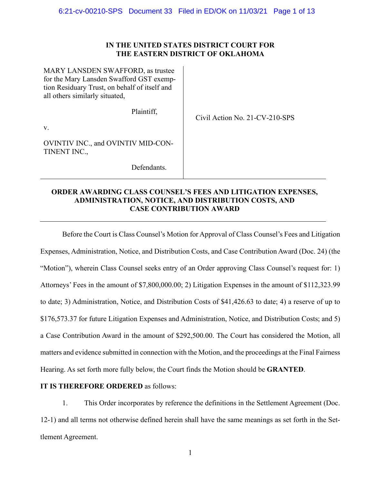# **IN THE UNITED STATES DISTRICT COURT FOR THE EASTERN DISTRICT OF OKLAHOMA**

| MARY LANSDEN SWAFFORD, as trustee<br>for the Mary Lansden Swafford GST exemp-<br>tion Residuary Trust, on behalf of itself and<br>all others similarly situated, |                                |
|------------------------------------------------------------------------------------------------------------------------------------------------------------------|--------------------------------|
| Plaintiff,                                                                                                                                                       | Civil Action No. 21-CV-210-SPS |
| V.                                                                                                                                                               |                                |
| OVINTIV INC., and OVINTIV MID-CON-<br>TINENT INC.,                                                                                                               |                                |
| Defendants.                                                                                                                                                      |                                |

# **ORDER AWARDING CLASS COUNSEL'S FEES AND LITIGATION EXPENSES, ADMINISTRATION, NOTICE, AND DISTRIBUTION COSTS, AND CASE CONTRIBUTION AWARD**

Before the Court is Class Counsel's Motion for Approval of Class Counsel's Fees and Litigation Expenses, Administration, Notice, and Distribution Costs, and Case Contribution Award (Doc. 24) (the "Motion"), wherein Class Counsel seeks entry of an Order approving Class Counsel's request for: 1) Attorneys' Fees in the amount of \$7,800,000.00; 2) Litigation Expenses in the amount of \$112,323.99 to date; 3) Administration, Notice, and Distribution Costs of \$41,426.63 to date; 4) a reserve of up to \$176,573.37 for future Litigation Expenses and Administration, Notice, and Distribution Costs; and 5) a Case Contribution Award in the amount of \$292,500.00. The Court has considered the Motion, all matters and evidence submitted in connection with the Motion, and the proceedings at the Final Fairness Hearing. As set forth more fully below, the Court finds the Motion should be **GRANTED**.

# **IT IS THEREFORE ORDERED** as follows:

1. This Order incorporates by reference the definitions in the Settlement Agreement (Doc. 12-1) and all terms not otherwise defined herein shall have the same meanings as set forth in the Settlement Agreement.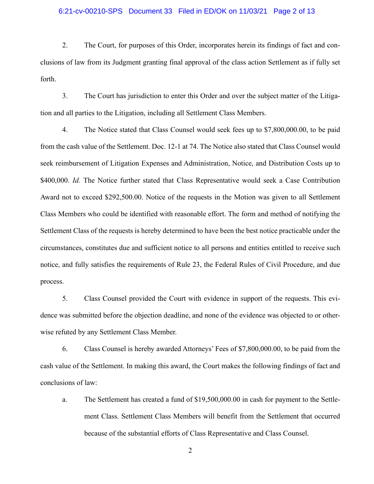## 6:21-cv-00210-SPS Document 33 Filed in ED/OK on 11/03/21 Page 2 of 13

2. The Court, for purposes of this Order, incorporates herein its findings of fact and conclusions of law from its Judgment granting final approval of the class action Settlement as if fully set forth.

3. The Court has jurisdiction to enter this Order and over the subject matter of the Litigation and all parties to the Litigation, including all Settlement Class Members.

4. The Notice stated that Class Counsel would seek fees up to \$7,800,000.00, to be paid from the cash value of the Settlement. Doc. 12-1 at 74. The Notice also stated that Class Counsel would seek reimbursement of Litigation Expenses and Administration, Notice, and Distribution Costs up to \$400,000. *Id.* The Notice further stated that Class Representative would seek a Case Contribution Award not to exceed \$292,500.00. Notice of the requests in the Motion was given to all Settlement Class Members who could be identified with reasonable effort. The form and method of notifying the Settlement Class of the requests is hereby determined to have been the best notice practicable under the circumstances, constitutes due and sufficient notice to all persons and entities entitled to receive such notice, and fully satisfies the requirements of Rule 23, the Federal Rules of Civil Procedure, and due process.

5. Class Counsel provided the Court with evidence in support of the requests. This evidence was submitted before the objection deadline, and none of the evidence was objected to or otherwise refuted by any Settlement Class Member.

6. Class Counsel is hereby awarded Attorneys' Fees of \$7,800,000.00, to be paid from the cash value of the Settlement. In making this award, the Court makes the following findings of fact and conclusions of law:

a. The Settlement has created a fund of \$19,500,000.00 in cash for payment to the Settlement Class. Settlement Class Members will benefit from the Settlement that occurred because of the substantial efforts of Class Representative and Class Counsel.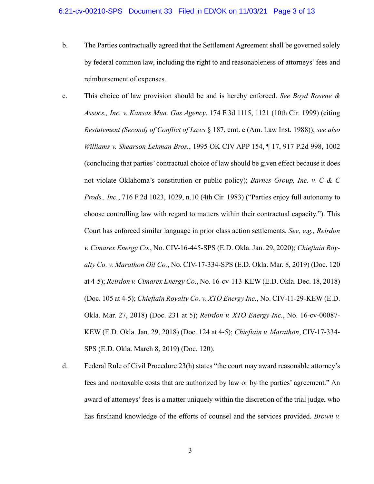- b. The Parties contractually agreed that the Settlement Agreement shall be governed solely by federal common law, including the right to and reasonableness of attorneys' fees and reimbursement of expenses.
- c. This choice of law provision should be and is hereby enforced. *See Boyd Rosene & Assocs., Inc. v. Kansas Mun. Gas Agency*, 174 F.3d 1115, 1121 (10th Cir. 1999) (citing *Restatement (Second) of Conflict of Laws* § 187, cmt. e (Am. Law Inst. 1988)); *see also Williams v. Shearson Lehman Bros.*, 1995 OK CIV APP 154, ¶ 17, 917 P.2d 998, 1002 (concluding that parties' contractual choice of law should be given effect because it does not violate Oklahoma's constitution or public policy); *Barnes Group, Inc. v. C & C Prods., Inc.*, 716 F.2d 1023, 1029, n.10 (4th Cir. 1983) ("Parties enjoy full autonomy to choose controlling law with regard to matters within their contractual capacity."). This Court has enforced similar language in prior class action settlements. *See, e.g., Reirdon v. Cimarex Energy Co.*, No. CIV-16-445-SPS (E.D. Okla. Jan. 29, 2020); *Chieftain Royalty Co. v. Marathon Oil Co.*, No. CIV-17-334-SPS (E.D. Okla. Mar. 8, 2019) (Doc. 120 at 4-5); *Reirdon v. Cimarex Energy Co.*, No. 16-cv-113-KEW (E.D. Okla. Dec. 18, 2018) (Doc. 105 at 4-5); *Chieftain Royalty Co. v. XTO Energy Inc.*, No. CIV-11-29-KEW (E.D. Okla. Mar. 27, 2018) (Doc. 231 at 5); *Reirdon v. XTO Energy Inc.*, No. 16-cv-00087- KEW (E.D. Okla. Jan. 29, 2018) (Doc. 124 at 4-5); *Chieftain v. Marathon*, CIV-17-334- SPS (E.D. Okla. March 8, 2019) (Doc. 120).
- d. Federal Rule of Civil Procedure 23(h) states "the court may award reasonable attorney's fees and nontaxable costs that are authorized by law or by the parties' agreement." An award of attorneys' fees is a matter uniquely within the discretion of the trial judge, who has firsthand knowledge of the efforts of counsel and the services provided. *Brown v.*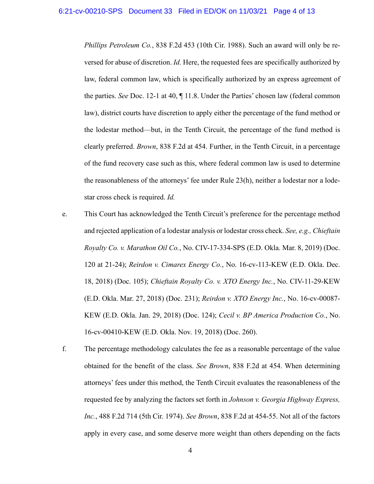*Phillips Petroleum Co.*, 838 F.2d 453 (10th Cir. 1988). Such an award will only be reversed for abuse of discretion. *Id.* Here, the requested fees are specifically authorized by law, federal common law, which is specifically authorized by an express agreement of the parties. *See* Doc. 12-1 at 40, ¶ 11.8. Under the Parties' chosen law (federal common law), district courts have discretion to apply either the percentage of the fund method or the lodestar method—but, in the Tenth Circuit, the percentage of the fund method is clearly preferred. *Brown*, 838 F.2d at 454. Further, in the Tenth Circuit, in a percentage of the fund recovery case such as this, where federal common law is used to determine the reasonableness of the attorneys' fee under Rule 23(h), neither a lodestar nor a lodestar cross check is required. *Id.*

- e. This Court has acknowledged the Tenth Circuit's preference for the percentage method and rejected application of a lodestar analysis or lodestar cross check. *See, e.g., Chieftain Royalty Co. v. Marathon Oil Co.*, No. CIV-17-334-SPS (E.D. Okla. Mar. 8, 2019) (Doc. 120 at 21-24); *Reirdon v. Cimarex Energy Co.*, No. 16-cv-113-KEW (E.D. Okla. Dec. 18, 2018) (Doc. 105); *Chieftain Royalty Co. v. XTO Energy Inc.*, No. CIV-11-29-KEW (E.D. Okla. Mar. 27, 2018) (Doc. 231); *Reirdon v. XTO Energy Inc.*, No. 16-cv-00087- KEW (E.D. Okla. Jan. 29, 2018) (Doc. 124); *Cecil v. BP America Production Co.*, No. 16-cv-00410-KEW (E.D. Okla. Nov. 19, 2018) (Doc. 260).
- f. The percentage methodology calculates the fee as a reasonable percentage of the value obtained for the benefit of the class. *See Brown*, 838 F.2d at 454. When determining attorneys' fees under this method, the Tenth Circuit evaluates the reasonableness of the requested fee by analyzing the factors set forth in *Johnson v. Georgia Highway Express, Inc.*, 488 F.2d 714 (5th Cir. 1974). *See Brown*, 838 F.2d at 454-55. Not all of the factors apply in every case, and some deserve more weight than others depending on the facts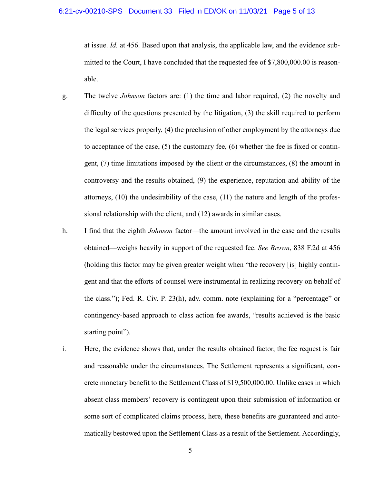## 6:21-cv-00210-SPS Document 33 Filed in ED/OK on 11/03/21 Page 5 of 13

at issue. *Id.* at 456. Based upon that analysis, the applicable law, and the evidence submitted to the Court, I have concluded that the requested fee of \$7,800,000.00 is reasonable.

- g. The twelve *Johnson* factors are: (1) the time and labor required, (2) the novelty and difficulty of the questions presented by the litigation, (3) the skill required to perform the legal services properly, (4) the preclusion of other employment by the attorneys due to acceptance of the case,  $(5)$  the customary fee,  $(6)$  whether the fee is fixed or contingent, (7) time limitations imposed by the client or the circumstances, (8) the amount in controversy and the results obtained, (9) the experience, reputation and ability of the attorneys, (10) the undesirability of the case, (11) the nature and length of the professional relationship with the client, and (12) awards in similar cases.
- h. I find that the eighth *Johnson* factor—the amount involved in the case and the results obtained—weighs heavily in support of the requested fee. *See Brown*, 838 F.2d at 456 (holding this factor may be given greater weight when "the recovery [is] highly contingent and that the efforts of counsel were instrumental in realizing recovery on behalf of the class."); Fed. R. Civ. P. 23(h), adv. comm. note (explaining for a "percentage" or contingency-based approach to class action fee awards, "results achieved is the basic starting point").
- i. Here, the evidence shows that, under the results obtained factor, the fee request is fair and reasonable under the circumstances. The Settlement represents a significant, concrete monetary benefit to the Settlement Class of \$19,500,000.00. Unlike cases in which absent class members' recovery is contingent upon their submission of information or some sort of complicated claims process, here, these benefits are guaranteed and automatically bestowed upon the Settlement Class as a result of the Settlement. Accordingly,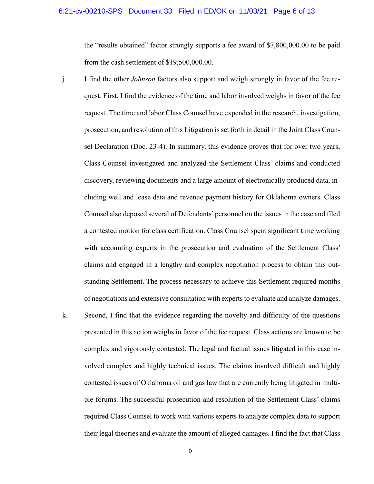## 6:21-cv-00210-SPS Document 33 Filed in ED/OK on 11/03/21 Page 6 of 13

the "results obtained" factor strongly supports a fee award of \$7,800,000.00 to be paid from the cash settlement of \$19,500,000.00.

- j. I find the other *Johnson* factors also support and weigh strongly in favor of the fee request. First, I find the evidence of the time and labor involved weighs in favor of the fee request. The time and labor Class Counsel have expended in the research, investigation, prosecution, and resolution of this Litigation is set forth in detail in the Joint Class Counsel Declaration (Doc. 23-4). In summary, this evidence proves that for over two years, Class Counsel investigated and analyzed the Settlement Class' claims and conducted discovery, reviewing documents and a large amount of electronically produced data, including well and lease data and revenue payment history for Oklahoma owners. Class Counsel also deposed several of Defendants' personnel on the issues in the case and filed a contested motion for class certification. Class Counsel spent significant time working with accounting experts in the prosecution and evaluation of the Settlement Class' claims and engaged in a lengthy and complex negotiation process to obtain this outstanding Settlement. The process necessary to achieve this Settlement required months of negotiations and extensive consultation with experts to evaluate and analyze damages.
- k. Second, I find that the evidence regarding the novelty and difficulty of the questions presented in this action weighs in favor of the fee request. Class actions are known to be complex and vigorously contested. The legal and factual issues litigated in this case involved complex and highly technical issues. The claims involved difficult and highly contested issues of Oklahoma oil and gas law that are currently being litigated in multiple forums. The successful prosecution and resolution of the Settlement Class' claims required Class Counsel to work with various experts to analyze complex data to support their legal theories and evaluate the amount of alleged damages. I find the fact that Class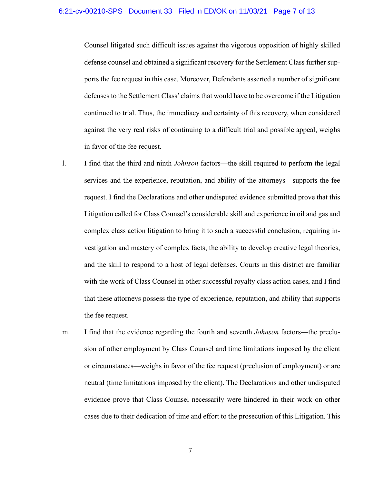#### 6:21-cv-00210-SPS Document 33 Filed in ED/OK on 11/03/21 Page 7 of 13

Counsel litigated such difficult issues against the vigorous opposition of highly skilled defense counsel and obtained a significant recovery for the Settlement Class further supports the fee request in this case. Moreover, Defendants asserted a number of significant defenses to the Settlement Class' claims that would have to be overcome if the Litigation continued to trial. Thus, the immediacy and certainty of this recovery, when considered against the very real risks of continuing to a difficult trial and possible appeal, weighs in favor of the fee request.

- l. I find that the third and ninth *Johnson* factors—the skill required to perform the legal services and the experience, reputation, and ability of the attorneys—supports the fee request. I find the Declarations and other undisputed evidence submitted prove that this Litigation called for Class Counsel's considerable skill and experience in oil and gas and complex class action litigation to bring it to such a successful conclusion, requiring investigation and mastery of complex facts, the ability to develop creative legal theories, and the skill to respond to a host of legal defenses. Courts in this district are familiar with the work of Class Counsel in other successful royalty class action cases, and I find that these attorneys possess the type of experience, reputation, and ability that supports the fee request.
- m. I find that the evidence regarding the fourth and seventh *Johnson* factors—the preclusion of other employment by Class Counsel and time limitations imposed by the client or circumstances—weighs in favor of the fee request (preclusion of employment) or are neutral (time limitations imposed by the client). The Declarations and other undisputed evidence prove that Class Counsel necessarily were hindered in their work on other cases due to their dedication of time and effort to the prosecution of this Litigation. This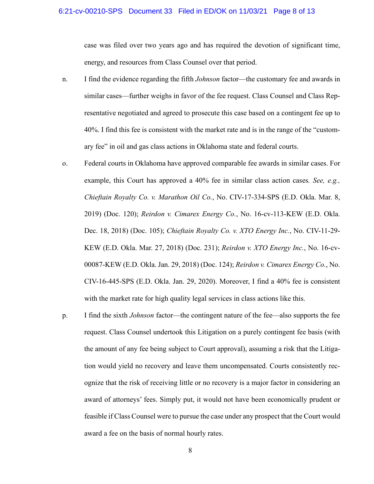#### 6:21-cv-00210-SPS Document 33 Filed in ED/OK on 11/03/21 Page 8 of 13

case was filed over two years ago and has required the devotion of significant time, energy, and resources from Class Counsel over that period.

- n. I find the evidence regarding the fifth *Johnson* factor—the customary fee and awards in similar cases—further weighs in favor of the fee request. Class Counsel and Class Representative negotiated and agreed to prosecute this case based on a contingent fee up to 40%. I find this fee is consistent with the market rate and is in the range of the "customary fee" in oil and gas class actions in Oklahoma state and federal courts.
- o. Federal courts in Oklahoma have approved comparable fee awards in similar cases. For example, this Court has approved a 40% fee in similar class action cases*. See, e.g., Chieftain Royalty Co. v. Marathon Oil Co.*, No. CIV-17-334-SPS (E.D. Okla. Mar. 8, 2019) (Doc. 120); *Reirdon v. Cimarex Energy Co.*, No. 16-cv-113-KEW (E.D. Okla. Dec. 18, 2018) (Doc. 105); *Chieftain Royalty Co. v. XTO Energy Inc.*, No. CIV-11-29- KEW (E.D. Okla. Mar. 27, 2018) (Doc. 231); *Reirdon v. XTO Energy Inc.*, No. 16-cv-00087-KEW (E.D. Okla. Jan. 29, 2018) (Doc. 124); *Reirdon v. Cimarex Energy Co.*, No. CIV-16-445-SPS (E.D. Okla. Jan. 29, 2020). Moreover, I find a 40% fee is consistent with the market rate for high quality legal services in class actions like this.
- p. I find the sixth *Johnson* factor—the contingent nature of the fee—also supports the fee request. Class Counsel undertook this Litigation on a purely contingent fee basis (with the amount of any fee being subject to Court approval), assuming a risk that the Litigation would yield no recovery and leave them uncompensated. Courts consistently recognize that the risk of receiving little or no recovery is a major factor in considering an award of attorneys' fees. Simply put, it would not have been economically prudent or feasible if Class Counsel were to pursue the case under any prospect that the Court would award a fee on the basis of normal hourly rates.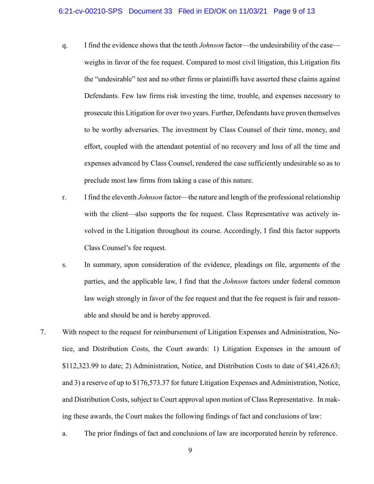- q. I find the evidence shows that the tenth *Johnson* factor—the undesirability of the case weighs in favor of the fee request. Compared to most civil litigation, this Litigation fits the "undesirable" test and no other firms or plaintiffs have asserted these claims against Defendants. Few law firms risk investing the time, trouble, and expenses necessary to prosecute this Litigation for over two years. Further, Defendants have proven themselves to be worthy adversaries. The investment by Class Counsel of their time, money, and effort, coupled with the attendant potential of no recovery and loss of all the time and expenses advanced by Class Counsel, rendered the case sufficiently undesirable so as to preclude most law firms from taking a case of this nature.
- r. I find the eleventh *Johnson* factor—the nature and length of the professional relationship with the client—also supports the fee request. Class Representative was actively involved in the Litigation throughout its course. Accordingly, I find this factor supports Class Counsel's fee request.
- s. In summary, upon consideration of the evidence, pleadings on file, arguments of the parties, and the applicable law, I find that the *Johnson* factors under federal common law weigh strongly in favor of the fee request and that the fee request is fair and reasonable and should be and is hereby approved.
- 7. With respect to the request for reimbursement of Litigation Expenses and Administration, Notice, and Distribution Costs, the Court awards: 1) Litigation Expenses in the amount of \$112,323.99 to date; 2) Administration, Notice, and Distribution Costs to date of \$41,426.63; and 3) a reserve of up to \$176,573.37 for future Litigation Expenses and Administration, Notice, and Distribution Costs, subject to Court approval upon motion of Class Representative. In making these awards, the Court makes the following findings of fact and conclusions of law:
	- a. The prior findings of fact and conclusions of law are incorporated herein by reference.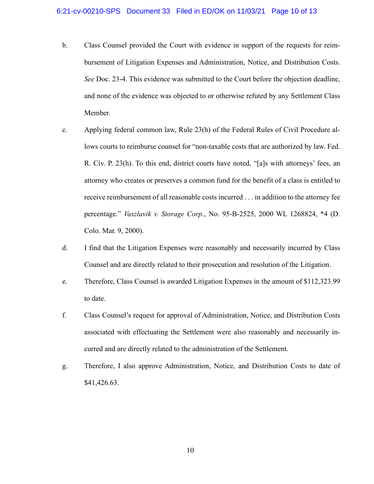- b. Class Counsel provided the Court with evidence in support of the requests for reimbursement of Litigation Expenses and Administration, Notice, and Distribution Costs. *See* Doc. 23-4. This evidence was submitted to the Court before the objection deadline, and none of the evidence was objected to or otherwise refuted by any Settlement Class Member.
- c. Applying federal common law, Rule 23(h) of the Federal Rules of Civil Procedure allows courts to reimburse counsel for "non-taxable costs that are authorized by law. Fed. R. Civ. P. 23(h). To this end, district courts have noted, "[a]s with attorneys' fees, an attorney who creates or preserves a common fund for the benefit of a class is entitled to receive reimbursement of all reasonable costs incurred . . . in addition to the attorney fee percentage." *Vaszlavik v. Storage Corp.*, No. 95-B-2525, 2000 WL 1268824, \*4 (D. Colo. Mar. 9, 2000).
- d. I find that the Litigation Expenses were reasonably and necessarily incurred by Class Counsel and are directly related to their prosecution and resolution of the Litigation.
- e. Therefore, Class Counsel is awarded Litigation Expenses in the amount of \$112,323.99 to date.
- f. Class Counsel's request for approval of Administration, Notice, and Distribution Costs associated with effectuating the Settlement were also reasonably and necessarily incurred and are directly related to the administration of the Settlement.
- g. Therefore, I also approve Administration, Notice, and Distribution Costs to date of \$41,426.63.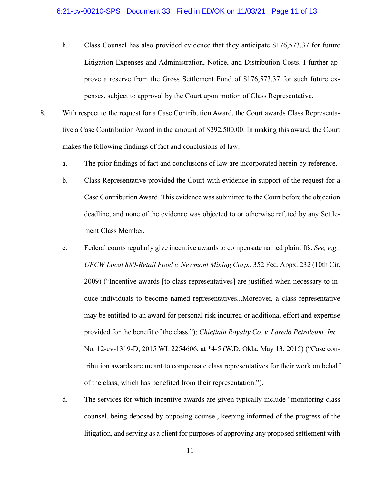## 6:21-cv-00210-SPS Document 33 Filed in ED/OK on 11/03/21 Page 11 of 13

- h. Class Counsel has also provided evidence that they anticipate \$176,573.37 for future Litigation Expenses and Administration, Notice, and Distribution Costs. I further approve a reserve from the Gross Settlement Fund of \$176,573.37 for such future expenses, subject to approval by the Court upon motion of Class Representative.
- 8. With respect to the request for a Case Contribution Award, the Court awards Class Representative a Case Contribution Award in the amount of \$292,500.00. In making this award, the Court makes the following findings of fact and conclusions of law:
	- a. The prior findings of fact and conclusions of law are incorporated herein by reference.
	- b. Class Representative provided the Court with evidence in support of the request for a Case Contribution Award. This evidence was submitted to the Court before the objection deadline, and none of the evidence was objected to or otherwise refuted by any Settlement Class Member.
	- c. Federal courts regularly give incentive awards to compensate named plaintiffs. *See, e.g., UFCW Local 880-Retail Food v. Newmont Mining Corp.*, 352 Fed. Appx. 232 (10th Cir. 2009) ("Incentive awards [to class representatives] are justified when necessary to induce individuals to become named representatives...Moreover, a class representative may be entitled to an award for personal risk incurred or additional effort and expertise provided for the benefit of the class."); *Chieftain Royalty Co. v. Laredo Petroleum, Inc.,*  No. 12-cv-1319-D, 2015 WL 2254606, at \*4-5 (W.D. Okla. May 13, 2015) ("Case contribution awards are meant to compensate class representatives for their work on behalf of the class, which has benefited from their representation.").
	- d. The services for which incentive awards are given typically include "monitoring class counsel, being deposed by opposing counsel, keeping informed of the progress of the litigation, and serving as a client for purposes of approving any proposed settlement with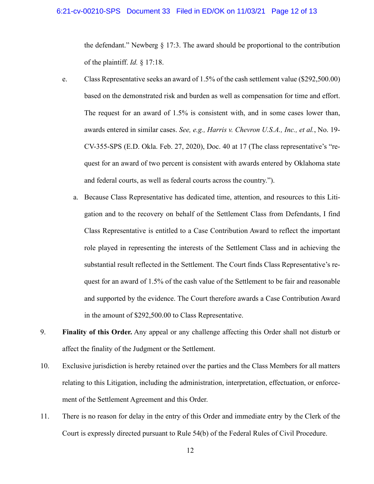## 6:21-cv-00210-SPS Document 33 Filed in ED/OK on 11/03/21 Page 12 of 13

the defendant." Newberg § 17:3. The award should be proportional to the contribution of the plaintiff. *Id.* § 17:18.

- e. Class Representative seeks an award of 1.5% of the cash settlement value (\$292,500.00) based on the demonstrated risk and burden as well as compensation for time and effort. The request for an award of 1.5% is consistent with, and in some cases lower than, awards entered in similar cases. *See, e.g., Harris v. Chevron U.S.A., Inc., et al.*, No. 19- CV-355-SPS (E.D. Okla. Feb. 27, 2020), Doc. 40 at 17 (The class representative's "request for an award of two percent is consistent with awards entered by Oklahoma state and federal courts, as well as federal courts across the country.").
	- a. Because Class Representative has dedicated time, attention, and resources to this Litigation and to the recovery on behalf of the Settlement Class from Defendants, I find Class Representative is entitled to a Case Contribution Award to reflect the important role played in representing the interests of the Settlement Class and in achieving the substantial result reflected in the Settlement. The Court finds Class Representative's request for an award of 1.5% of the cash value of the Settlement to be fair and reasonable and supported by the evidence. The Court therefore awards a Case Contribution Award in the amount of \$292,500.00 to Class Representative.
- 9. **Finality of this Order.** Any appeal or any challenge affecting this Order shall not disturb or affect the finality of the Judgment or the Settlement.
- 10. Exclusive jurisdiction is hereby retained over the parties and the Class Members for all matters relating to this Litigation, including the administration, interpretation, effectuation, or enforcement of the Settlement Agreement and this Order.
- 11. There is no reason for delay in the entry of this Order and immediate entry by the Clerk of the Court is expressly directed pursuant to Rule 54(b) of the Federal Rules of Civil Procedure.